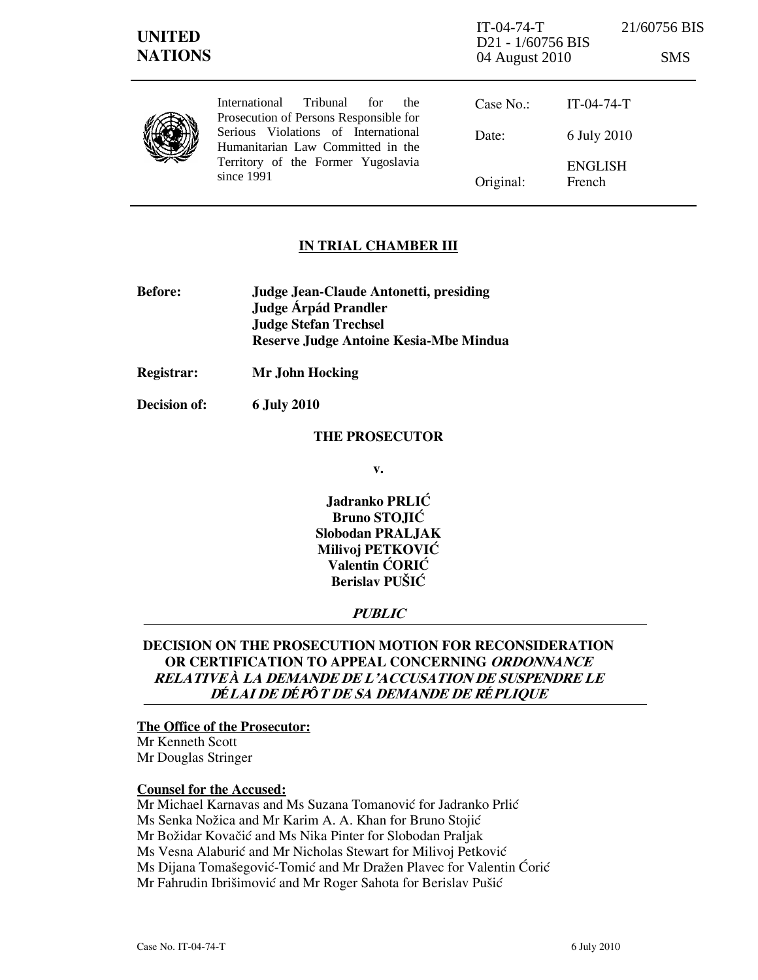| <b>UNITED</b><br><b>NATIONS</b> |                                                                                                                                                                                                                     | $IT-04-74-T$<br>D <sub>21</sub> - 1/60756 BIS<br>04 August 2010 |                          | 21/60756 BIS<br><b>SMS</b> |
|---------------------------------|---------------------------------------------------------------------------------------------------------------------------------------------------------------------------------------------------------------------|-----------------------------------------------------------------|--------------------------|----------------------------|
|                                 | International<br>Tribunal<br>for<br>the<br>Prosecution of Persons Responsible for<br>Serious Violations of International<br>Humanitarian Law Committed in the<br>Territory of the Former Yugoslavia<br>since $1991$ | Case $No.$ :                                                    | $IT-04-74-T$             |                            |
|                                 |                                                                                                                                                                                                                     | Date:                                                           | 6 July 2010              |                            |
|                                 |                                                                                                                                                                                                                     | Original:                                                       | <b>ENGLISH</b><br>French |                            |

### IN TRIAL CHAMBER III

- Before: Judge Jean-Claude Antonetti, presiding Judge **Árpád Prandler**  Judge Stefan Trechsel Reserve Judge Antoine Kesia-Mbe Mindua
- Registrar: Mr John Hocking

Decision of: 6 July 2010

#### THE PROSECUTOR

v.

Jadranko PRLIĆ Bruno STOJIĆ Slobodan PRALJAK Milivoj PETKOVIĆ Valentin ĆORIĆ Berislav PUŠIĆ

#### **PUBLIC**

# DECISION ON THE PROSECUTION MOTION FOR RECONSIDERATION OR CERTIFICATION TO APPEAL CONCERNING ORDONNANCE RELATIVE *À* LA DEMANDE DE L'ACCUSATION DE SUSPENDRE LE <sup>D</sup>*É*LAI DE D*É*P*Ô*T DE SA DEMANDE DE R*É*PLIQUE

### The Office of the Prosecutor:

Mr Kenneth Scott Mr Douglas Stringer

### Counsel for the Accused:

Mr Michael Karnavas and Ms Suzana Tomanović for Jadranko Prlić Ms Senka Nožica and Mr Karim A. A. Khan for Bruno Stojić Mr Božidar Kovačić and Ms Nika Pinter for Slobodan Praljak Ms Vesna Alaburić and Mr Nicholas Stewart for Milivoj Petković Ms Dijana Tomašegović-Tomić and Mr Dražen Plavec for Valentin Ćorić Mr Fahrudin Ibrišimović and Mr Roger Sahota for Berislav Pušić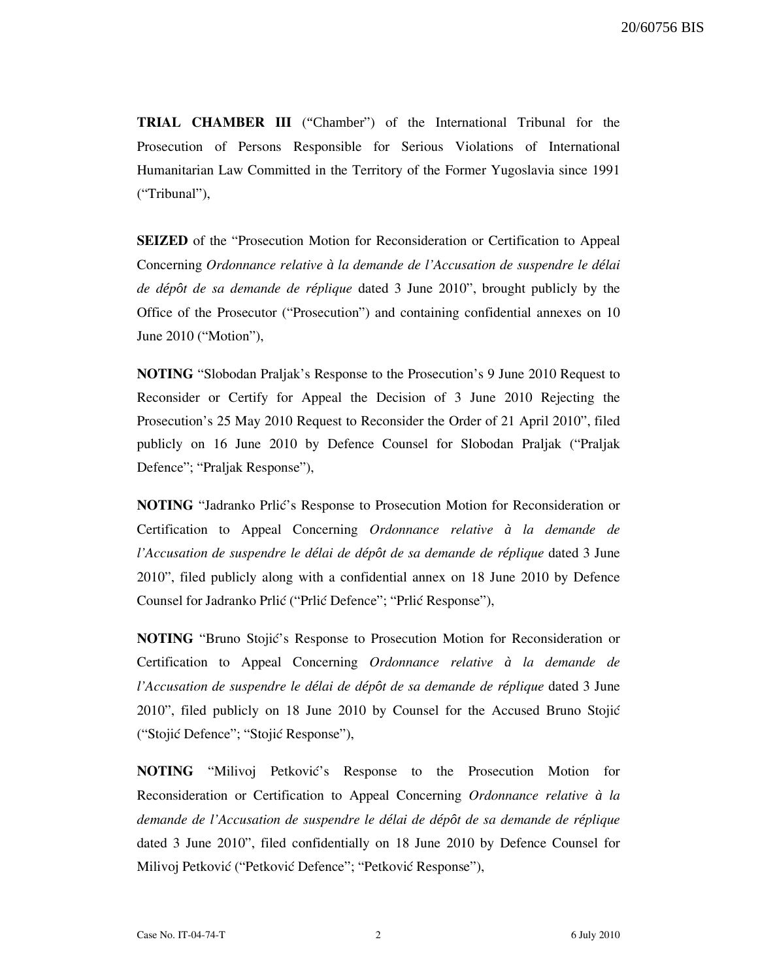TRIAL CHAMBER III ("Chamber") of the International Tribunal for the Prosecution of Persons Responsible for Serious Violations of International Humanitarian Law Committed in the Territory of the Former Yugoslavia since 1991 ("Tribunal"),

SEIZED of the "Prosecution Motion for Reconsideration or Certification to Appeal Concerning Ordonnance relative *à* la demande de l'Accusation de suspendre le d*é*lai de d*é*p*ô*t de sa demande de r*é*plique dated 3 June 2010", brought publicly by the Office of the Prosecutor ("Prosecution") and containing confidential annexes on 10 June 2010 ("Motion"),

NOTING "Slobodan Praljak's Response to the Prosecution's 9 June 2010 Request to Reconsider or Certify for Appeal the Decision of 3 June 2010 Rejecting the Prosecution's 25 May 2010 Request to Reconsider the Order of 21 April 2010", filed publicly on 16 June 2010 by Defence Counsel for Slobodan Praljak ("Praljak Defence"; "Praljak Response"),

NOTING "Jadranko Prlić's Response to Prosecution Motion for Reconsideration or Certification to Appeal Concerning Ordonnance relative *à* la demande de l'Accusation de suspendre le d*é*lai de d*é*p*ô*t de sa demande de r*é*plique dated 3 June 2010", filed publicly along with a confidential annex on 18 June 2010 by Defence Counsel for Jadranko Prlić ("Prlić Defence"; "Prlić Response"),

NOTING "Bruno Stojić's Response to Prosecution Motion for Reconsideration or Certification to Appeal Concerning Ordonnance relative *à* la demande de l'Accusation de suspendre le d*é*lai de d*é*p*ô*t de sa demande de r*é*plique dated 3 June 2010", filed publicly on 18 June 2010 by Counsel for the Accused Bruno Stojić ("Stojić Defence"; "Stojić Response"),

**NOTING** "Milivoj Petković's Response to the Prosecution Motion for Reconsideration or Certification to Appeal Concerning Ordonnance relative *à* la demande de l'Accusation de suspendre le d*é*lai de d*é*p*ô*t de sa demande de r*é*plique dated 3 June 2010", filed confidentially on 18 June 2010 by Defence Counsel for Milivoj Petković ("Petković Defence"; "Petković Response"),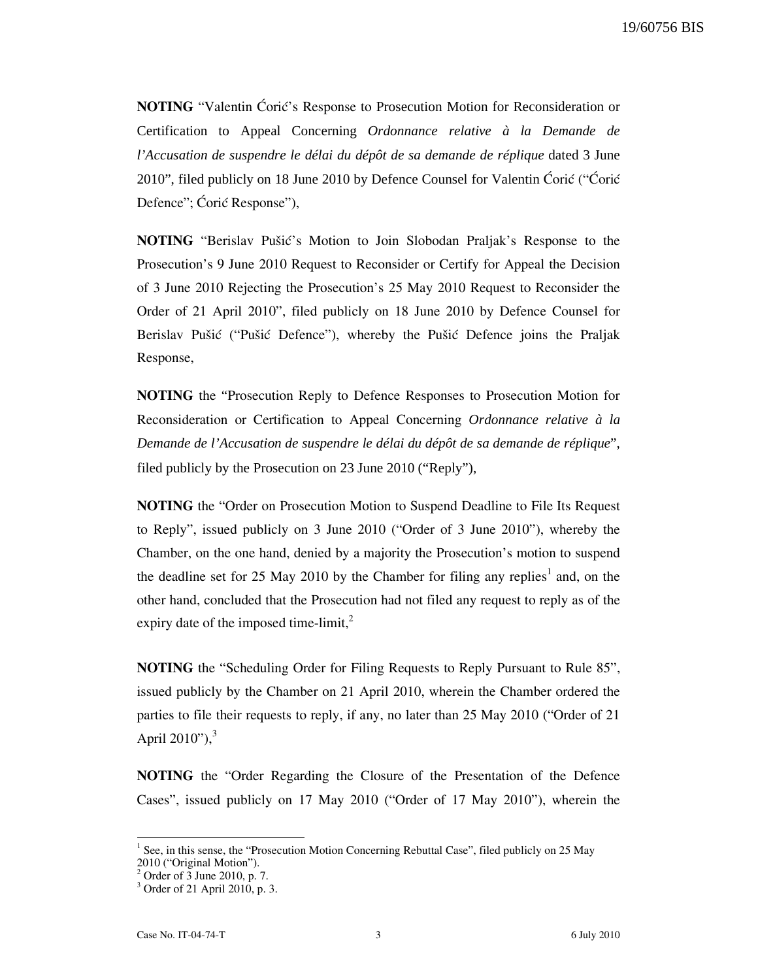NOTING "Valentin Ćorić's Response to Prosecution Motion for Reconsideration or Certification to Appeal Concerning *Ordonnance relative à la Demande de l'Accusation de suspendre le délai du dépôt de sa demande de réplique* dated 3 June 2010", filed publicly on 18 June 2010 by Defence Counsel for Valentin Ćorić ("Ćorić Defence"; Ćorić Response"),

**NOTING** "Berislav Pušić's Motion to Join Slobodan Praljak's Response to the Prosecution's 9 June 2010 Request to Reconsider or Certify for Appeal the Decision of 3 June 2010 Rejecting the Prosecution's 25 May 2010 Request to Reconsider the Order of 21 April 2010", filed publicly on 18 June 2010 by Defence Counsel for Berislav Pušić ("Pušić Defence"), whereby the Pušić Defence joins the Praljak Response,

NOTING the "Prosecution Reply to Defence Responses to Prosecution Motion for Reconsideration or Certification to Appeal Concerning *Ordonnance relative à la Demande de l'Accusation de suspendre le délai du dépôt de sa demande de réplique*", filed publicly by the Prosecution on 23 June 2010 ("Reply"),

NOTING the "Order on Prosecution Motion to Suspend Deadline to File Its Request to Reply", issued publicly on 3 June 2010 ("Order of 3 June 2010"), whereby the Chamber, on the one hand, denied by a majority the Prosecution's motion to suspend the deadline set for 25 May 2010 by the Chamber for filing any replies<sup>1</sup> and, on the other hand, concluded that the Prosecution had not filed any request to reply as of the expiry date of the imposed time-limit, $^{2}$ 

NOTING the "Scheduling Order for Filing Requests to Reply Pursuant to Rule 85", issued publicly by the Chamber on 21 April 2010, wherein the Chamber ordered the parties to file their requests to reply, if any, no later than 25 May 2010 ("Order of 21 April 2010"), $3$ 

NOTING the "Order Regarding the Closure of the Presentation of the Defence Cases", issued publicly on 17 May 2010 ("Order of 17 May 2010"), wherein the

<sup>&</sup>lt;sup>1</sup> See, in this sense, the "Prosecution Motion Concerning Rebuttal Case", filed publicly on 25 May 2010 ("Original Motion").

<sup>2</sup> Order of 3 June 2010, p. 7.

<sup>3</sup> Order of 21 April 2010, p. 3.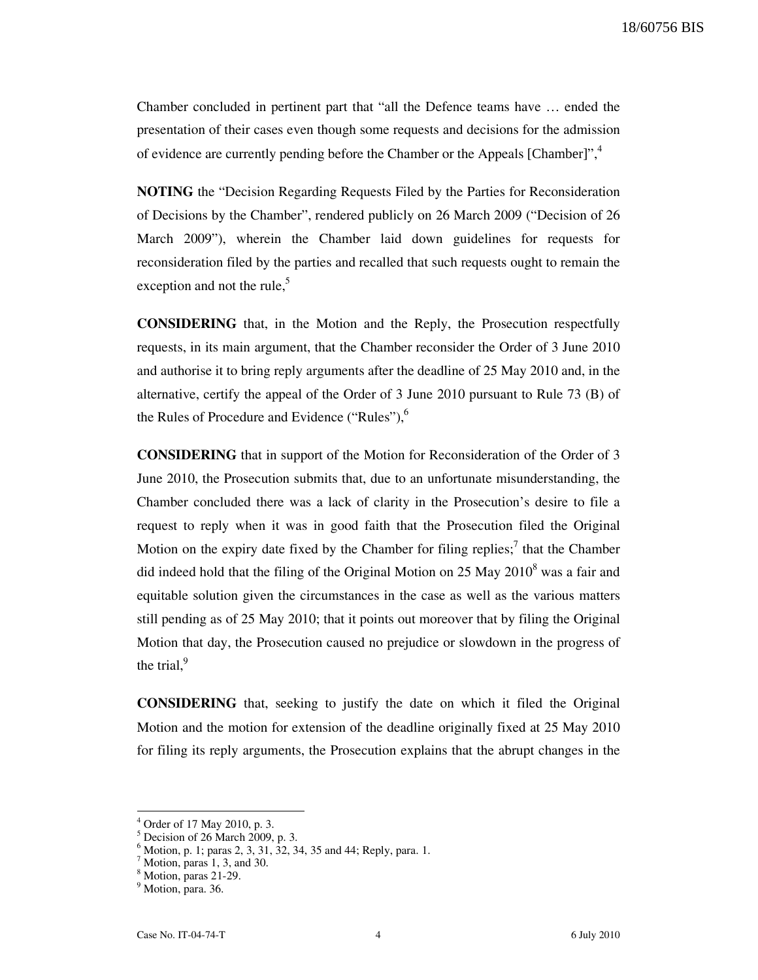Chamber concluded in pertinent part that "all the Defence teams have … ended the presentation of their cases even though some requests and decisions for the admission of evidence are currently pending before the Chamber or the Appeals [Chamber]",<sup>4</sup>

NOTING the "Decision Regarding Requests Filed by the Parties for Reconsideration of Decisions by the Chamber", rendered publicly on 26 March 2009 ("Decision of 26 March 2009"), wherein the Chamber laid down guidelines for requests for reconsideration filed by the parties and recalled that such requests ought to remain the exception and not the rule, $5$ 

CONSIDERING that, in the Motion and the Reply, the Prosecution respectfully requests, in its main argument, that the Chamber reconsider the Order of 3 June 2010 and authorise it to bring reply arguments after the deadline of 25 May 2010 and, in the alternative, certify the appeal of the Order of 3 June 2010 pursuant to Rule 73 (B) of the Rules of Procedure and Evidence ("Rules"), $<sup>6</sup>$ </sup>

CONSIDERING that in support of the Motion for Reconsideration of the Order of 3 June 2010, the Prosecution submits that, due to an unfortunate misunderstanding, the Chamber concluded there was a lack of clarity in the Prosecution's desire to file a request to reply when it was in good faith that the Prosecution filed the Original Motion on the expiry date fixed by the Chamber for filing replies;<sup>7</sup> that the Chamber did indeed hold that the filing of the Original Motion on 25 May  $2010^8$  was a fair and equitable solution given the circumstances in the case as well as the various matters still pending as of 25 May 2010; that it points out moreover that by filing the Original Motion that day, the Prosecution caused no prejudice or slowdown in the progress of the trial, $9$ 

CONSIDERING that, seeking to justify the date on which it filed the Original Motion and the motion for extension of the deadline originally fixed at 25 May 2010 for filing its reply arguments, the Prosecution explains that the abrupt changes in the

<sup>4</sup> Order of 17 May 2010, p. 3.

<sup>5</sup> Decision of 26 March 2009, p. 3.

 $6$  Motion, p. 1; paras 2, 3, 31, 32, 34, 35 and 44; Reply, para. 1.

<sup>7</sup> Motion, paras 1, 3, and 30.

<sup>8</sup> Motion, paras 21-29.

<sup>&</sup>lt;sup>9</sup> Motion, para. 36.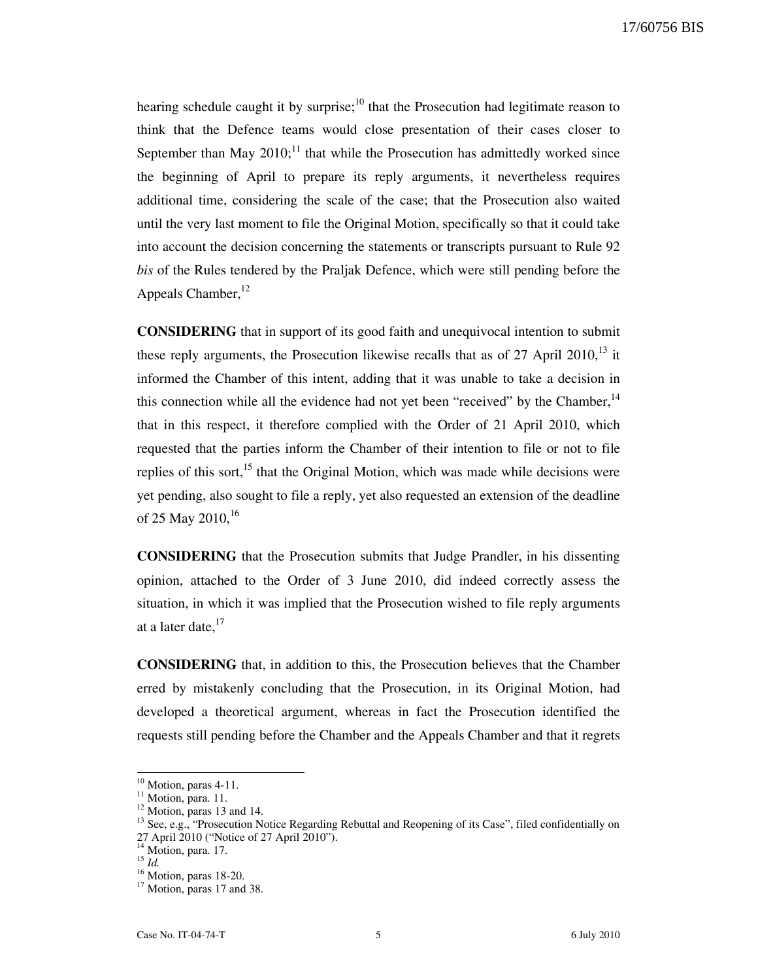hearing schedule caught it by surprise;<sup>10</sup> that the Prosecution had legitimate reason to think that the Defence teams would close presentation of their cases closer to September than May  $2010$ ;<sup>11</sup> that while the Prosecution has admittedly worked since the beginning of April to prepare its reply arguments, it nevertheless requires additional time, considering the scale of the case; that the Prosecution also waited until the very last moment to file the Original Motion, specifically so that it could take into account the decision concerning the statements or transcripts pursuant to Rule 92 bis of the Rules tendered by the Praljak Defence, which were still pending before the Appeals Chamber.<sup>12</sup>

CONSIDERING that in support of its good faith and unequivocal intention to submit these reply arguments, the Prosecution likewise recalls that as of  $27$  April  $2010$ ,<sup>13</sup> it informed the Chamber of this intent, adding that it was unable to take a decision in this connection while all the evidence had not yet been "received" by the Chamber, $14$ that in this respect, it therefore complied with the Order of 21 April 2010, which requested that the parties inform the Chamber of their intention to file or not to file replies of this sort,  $15$  that the Original Motion, which was made while decisions were yet pending, also sought to file a reply, yet also requested an extension of the deadline of 25 May 2010,  $16$ 

CONSIDERING that the Prosecution submits that Judge Prandler, in his dissenting opinion, attached to the Order of 3 June 2010, did indeed correctly assess the situation, in which it was implied that the Prosecution wished to file reply arguments at a later date, $^{17}$ 

CONSIDERING that, in addition to this, the Prosecution believes that the Chamber erred by mistakenly concluding that the Prosecution, in its Original Motion, had developed a theoretical argument, whereas in fact the Prosecution identified the requests still pending before the Chamber and the Appeals Chamber and that it regrets

 $10$  Motion, paras 4-11.

<sup>&</sup>lt;sup>11</sup> Motion, para. 11.

 $12$  Motion, paras 13 and 14.

<sup>&</sup>lt;sup>13</sup> See, e.g., "Prosecution Notice Regarding Rebuttal and Reopening of its Case", filed confidentially on 27 April 2010 ("Notice of 27 April 2010").

<sup>&</sup>lt;sup>14</sup> Motion, para. 17.

 $^{15}$  *Id.* 

 $16$  Motion, paras 18-20.

<sup>&</sup>lt;sup>17</sup> Motion, paras 17 and 38.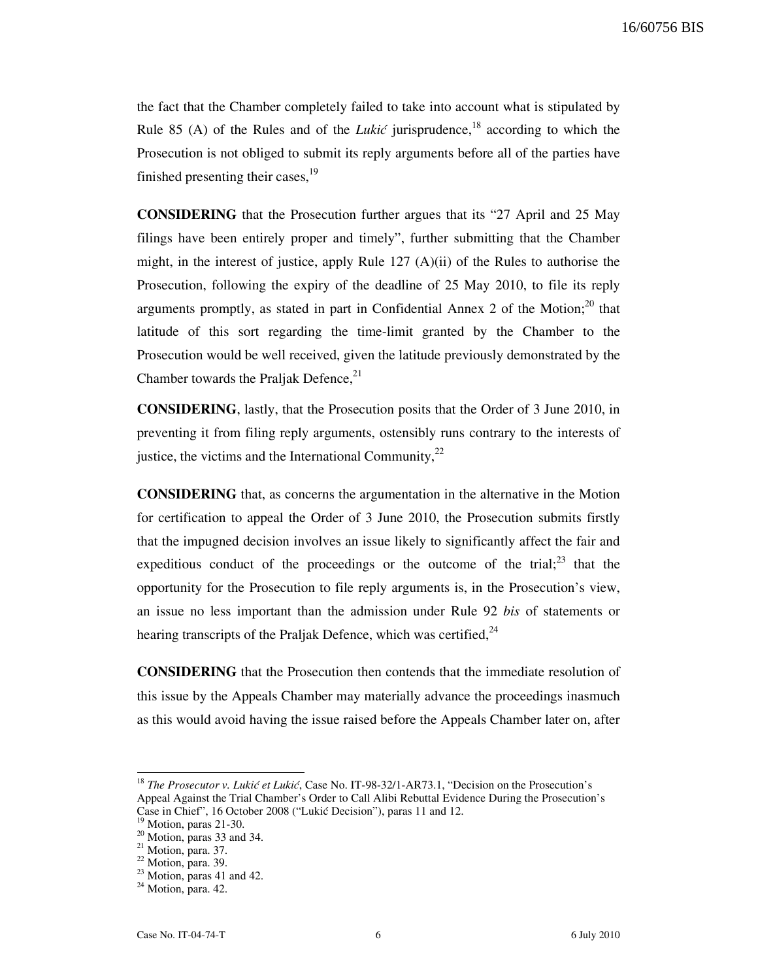the fact that the Chamber completely failed to take into account what is stipulated by Rule 85 (A) of the Rules and of the *Lukić* jurisprudence,<sup>18</sup> according to which the Prosecution is not obliged to submit its reply arguments before all of the parties have finished presenting their cases,  $19$ 

CONSIDERING that the Prosecution further argues that its "27 April and 25 May filings have been entirely proper and timely", further submitting that the Chamber might, in the interest of justice, apply Rule  $127 (A)(ii)$  of the Rules to authorise the Prosecution, following the expiry of the deadline of 25 May 2010, to file its reply arguments promptly, as stated in part in Confidential Annex 2 of the Motion;<sup>20</sup> that latitude of this sort regarding the time-limit granted by the Chamber to the Prosecution would be well received, given the latitude previously demonstrated by the Chamber towards the Praljak Defence, $^{21}$ 

CONSIDERING, lastly, that the Prosecution posits that the Order of 3 June 2010, in preventing it from filing reply arguments, ostensibly runs contrary to the interests of justice, the victims and the International Community, $^{22}$ 

CONSIDERING that, as concerns the argumentation in the alternative in the Motion for certification to appeal the Order of 3 June 2010, the Prosecution submits firstly that the impugned decision involves an issue likely to significantly affect the fair and expeditious conduct of the proceedings or the outcome of the trial; $^{23}$  that the opportunity for the Prosecution to file reply arguments is, in the Prosecution's view, an issue no less important than the admission under Rule 92 bis of statements or hearing transcripts of the Praljak Defence, which was certified, $^{24}$ 

CONSIDERING that the Prosecution then contends that the immediate resolution of this issue by the Appeals Chamber may materially advance the proceedings inasmuch as this would avoid having the issue raised before the Appeals Chamber later on, after

<sup>&</sup>lt;sup>18</sup> The Prosecutor v. Lukić et Lukić, Case No. IT-98-32/1-AR73.1, "Decision on the Prosecution's Appeal Against the Trial Chamber's Order to Call Alibi Rebuttal Evidence During the Prosecution's Case in Chief", 16 October 2008 ("Lukić Decision"), paras 11 and 12.

Motion, paras 21-30.

 $20$  Motion, paras 33 and 34.

 $21$  Motion, para. 37.

 $22$  Motion, para. 39.

 $23$  Motion, paras 41 and 42.

 $24$  Motion, para. 42.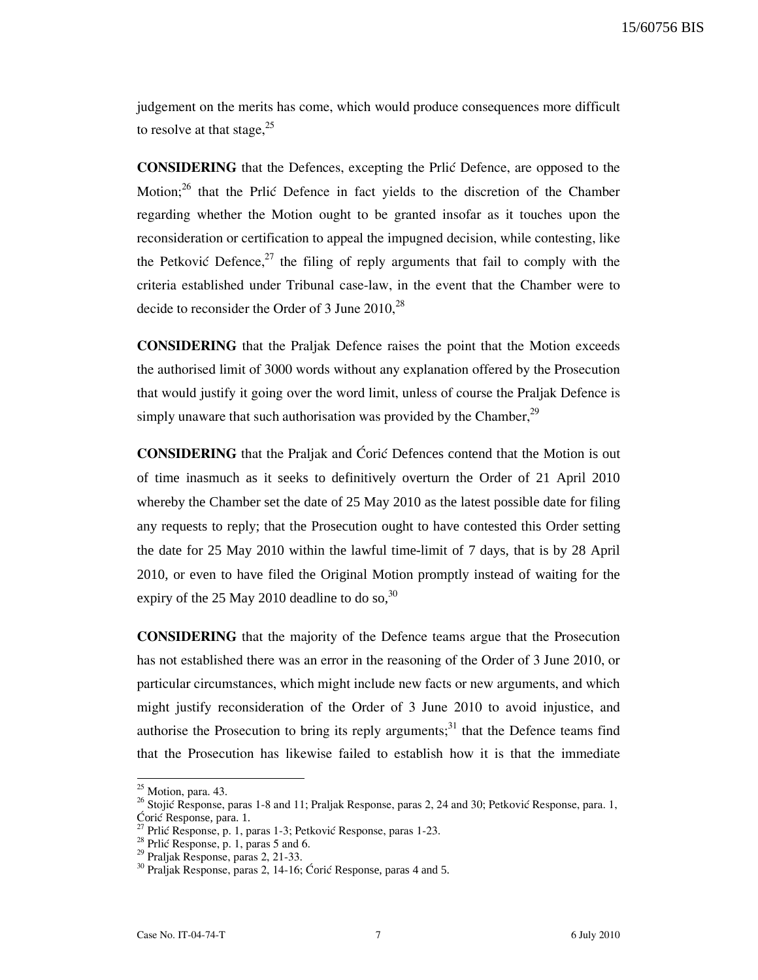judgement on the merits has come, which would produce consequences more difficult to resolve at that stage, $25$ 

CONSIDERING that the Defences, excepting the Prli} Defence, are opposed to the Motion; $^{26}$  that the Prlić Defence in fact yields to the discretion of the Chamber regarding whether the Motion ought to be granted insofar as it touches upon the reconsideration or certification to appeal the impugned decision, while contesting, like the Petković Defence,<sup>27</sup> the filing of reply arguments that fail to comply with the criteria established under Tribunal case-law, in the event that the Chamber were to decide to reconsider the Order of 3 June  $2010$ ,  $^{28}$ 

CONSIDERING that the Praljak Defence raises the point that the Motion exceeds the authorised limit of 3000 words without any explanation offered by the Prosecution that would justify it going over the word limit, unless of course the Praljak Defence is simply unaware that such authorisation was provided by the Chamber, $^{29}$ 

**CONSIDERING** that the Praljak and Coric Defences contend that the Motion is out of time inasmuch as it seeks to definitively overturn the Order of 21 April 2010 whereby the Chamber set the date of 25 May 2010 as the latest possible date for filing any requests to reply; that the Prosecution ought to have contested this Order setting the date for 25 May 2010 within the lawful time-limit of 7 days, that is by 28 April 2010, or even to have filed the Original Motion promptly instead of waiting for the expiry of the 25 May 2010 deadline to do so,  $30$ 

CONSIDERING that the majority of the Defence teams argue that the Prosecution has not established there was an error in the reasoning of the Order of 3 June 2010, or particular circumstances, which might include new facts or new arguments, and which might justify reconsideration of the Order of 3 June 2010 to avoid injustice, and authorise the Prosecution to bring its reply arguments;<sup>31</sup> that the Defence teams find that the Prosecution has likewise failed to establish how it is that the immediate

 $25$  Motion, para. 43.

<sup>&</sup>lt;sup>26</sup> Stojić Response, paras 1-8 and 11; Praljak Response, paras 2, 24 and 30; Petković Response, para. 1, Ćorić Response, para. 1.

<sup>&</sup>lt;sup>27</sup> Prlić Response, p. 1, paras 1-3; Petković Response, paras 1-23.

 $28$  Prlić Response, p. 1, paras 5 and 6.

<sup>29</sup> Praljak Response, paras 2, 21-33.

 $30$  Praljak Response, paras 2, 14-16; Ćorić Response, paras 4 and 5.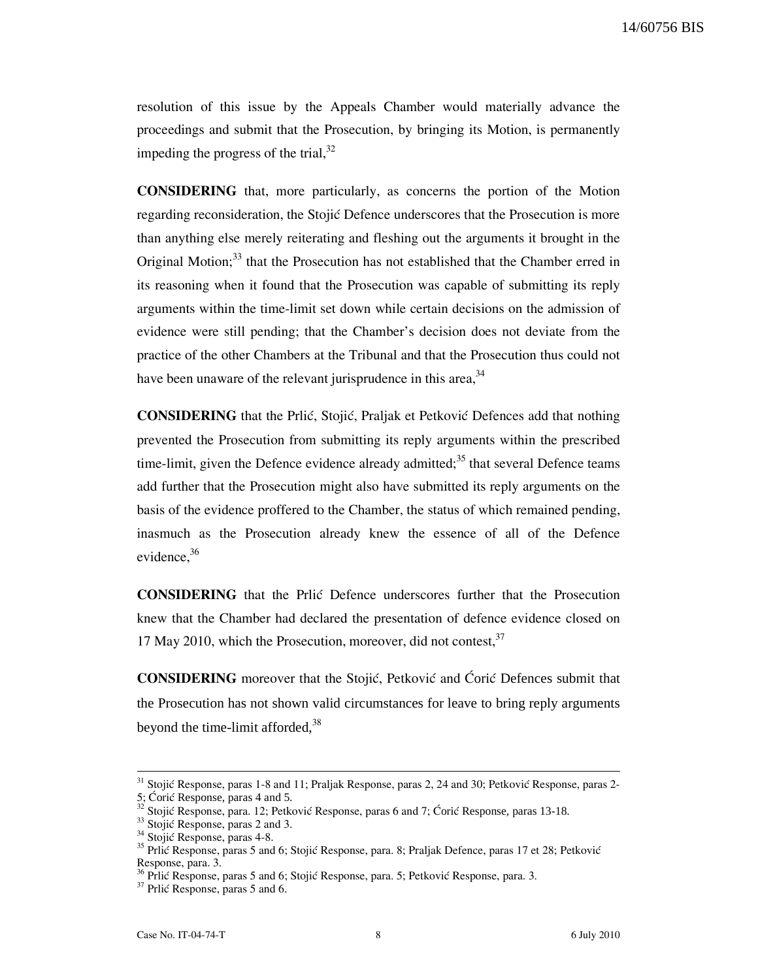resolution of this issue by the Appeals Chamber would materially advance the proceedings and submit that the Prosecution, by bringing its Motion, is permanently impeding the progress of the trial,  $32$ 

CONSIDERING that, more particularly, as concerns the portion of the Motion regarding reconsideration, the Stojić Defence underscores that the Prosecution is more than anything else merely reiterating and fleshing out the arguments it brought in the Original Motion;<sup>33</sup> that the Prosecution has not established that the Chamber erred in its reasoning when it found that the Prosecution was capable of submitting its reply arguments within the time-limit set down while certain decisions on the admission of evidence were still pending; that the Chamber's decision does not deviate from the practice of the other Chambers at the Tribunal and that the Prosecution thus could not have been unaware of the relevant jurisprudence in this area,  $34$ 

**CONSIDERING** that the Prlić, Stojić, Praljak et Petković Defences add that nothing prevented the Prosecution from submitting its reply arguments within the prescribed time-limit, given the Defence evidence already admitted; $35$  that several Defence teams add further that the Prosecution might also have submitted its reply arguments on the basis of the evidence proffered to the Chamber, the status of which remained pending, inasmuch as the Prosecution already knew the essence of all of the Defence evidence.<sup>36</sup>

CONSIDERING that the Prli} Defence underscores further that the Prosecution knew that the Chamber had declared the presentation of defence evidence closed on 17 May 2010, which the Prosecution, moreover, did not contest,  $37$ 

**CONSIDERING** moreover that the Stojić, Petković and Ćorić Defences submit that the Prosecution has not shown valid circumstances for leave to bring reply arguments beyond the time-limit afforded,<sup>38</sup>

 $31$  Stojić Response, paras 1-8 and 11; Praljak Response, paras 2, 24 and 30; Petković Response, paras 2- $\frac{5}{32}$ ; Coric Response, paras 4 and 5.

Stojić Response, para. 12; Petković Response, paras 6 and 7; Ćorić Response, paras 13-18.

 $33$  Stojić Response, paras 2 and 3.

<sup>&</sup>lt;sup>34</sup> Stojić Response, paras 4-8.

<sup>&</sup>lt;sup>35</sup> Prlić Response, paras 5 and 6; Stojić Response, para. 8; Praljak Defence, paras 17 et 28; Petković Response, para. 3.

Prlić Response, paras 5 and 6; Stojić Response, para. 5; Petković Response, para. 3.

 $37$  Prlić Response, paras 5 and 6.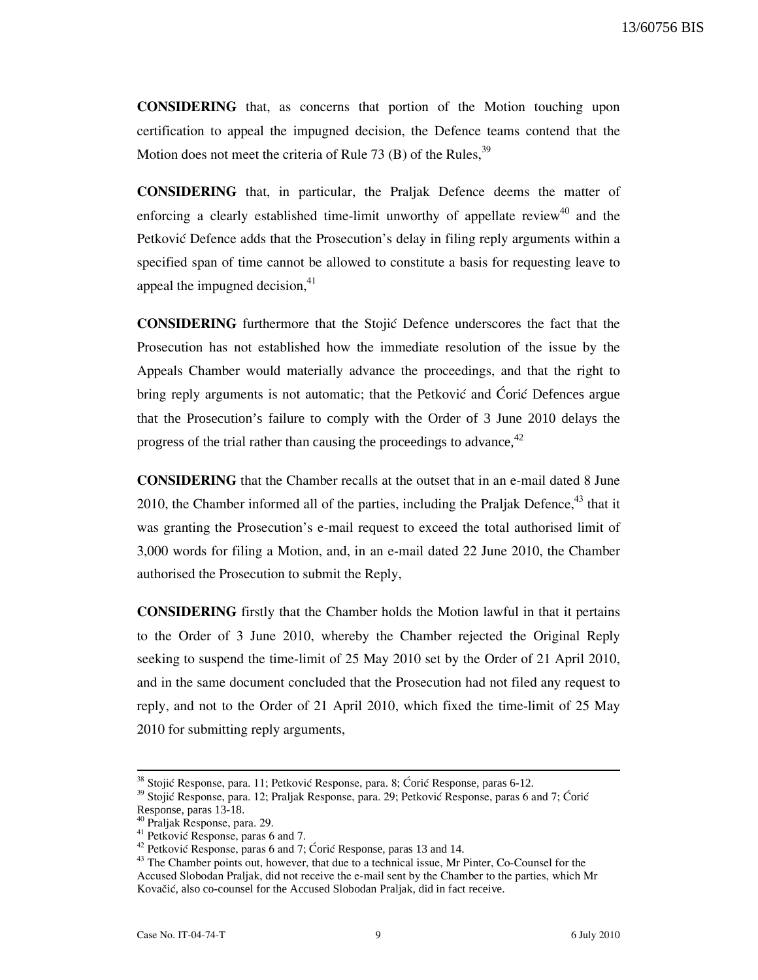CONSIDERING that, as concerns that portion of the Motion touching upon certification to appeal the impugned decision, the Defence teams contend that the Motion does not meet the criteria of Rule 73 (B) of the Rules,  $39$ 

CONSIDERING that, in particular, the Praljak Defence deems the matter of enforcing a clearly established time-limit unworthy of appellate review<sup>40</sup> and the Petković Defence adds that the Prosecution's delay in filing reply arguments within a specified span of time cannot be allowed to constitute a basis for requesting leave to appeal the impugned decision, $41$ 

**CONSIDERING** furthermore that the Stojic Defence underscores the fact that the Prosecution has not established how the immediate resolution of the issue by the Appeals Chamber would materially advance the proceedings, and that the right to bring reply arguments is not automatic; that the Petković and Ćorić Defences argue that the Prosecution's failure to comply with the Order of 3 June 2010 delays the progress of the trial rather than causing the proceedings to advance,  $42$ 

CONSIDERING that the Chamber recalls at the outset that in an e-mail dated 8 June 2010, the Chamber informed all of the parties, including the Praljak Defence, $43$  that it was granting the Prosecution's e-mail request to exceed the total authorised limit of 3,000 words for filing a Motion, and, in an e-mail dated 22 June 2010, the Chamber authorised the Prosecution to submit the Reply,

CONSIDERING firstly that the Chamber holds the Motion lawful in that it pertains to the Order of 3 June 2010, whereby the Chamber rejected the Original Reply seeking to suspend the time-limit of 25 May 2010 set by the Order of 21 April 2010, and in the same document concluded that the Prosecution had not filed any request to reply, and not to the Order of 21 April 2010, which fixed the time-limit of 25 May 2010 for submitting reply arguments,

<sup>&</sup>lt;sup>38</sup> Stojić Response, para. 11; Petković Response, para. 8; Ćorić Response, paras 6-12.

<sup>&</sup>lt;sup>39</sup> Stojić Response, para. 12; Praljak Response, para. 29; Petković Response, paras 6 and 7; Ćorić Response, paras 13-18.

<sup>40</sup> Praljak Response, para. 29.

 $41$  Petković Response, paras 6 and 7.

<sup>&</sup>lt;sup>42</sup> Petković Response, paras 6 and 7; Ćorić Response, paras 13 and 14.

<sup>&</sup>lt;sup>43</sup> The Chamber points out, however, that due to a technical issue, Mr Pinter, Co-Counsel for the Accused Slobodan Praljak, did not receive the e-mail sent by the Chamber to the parties, which Mr Kovačić, also co-counsel for the Accused Slobodan Praljak, did in fact receive.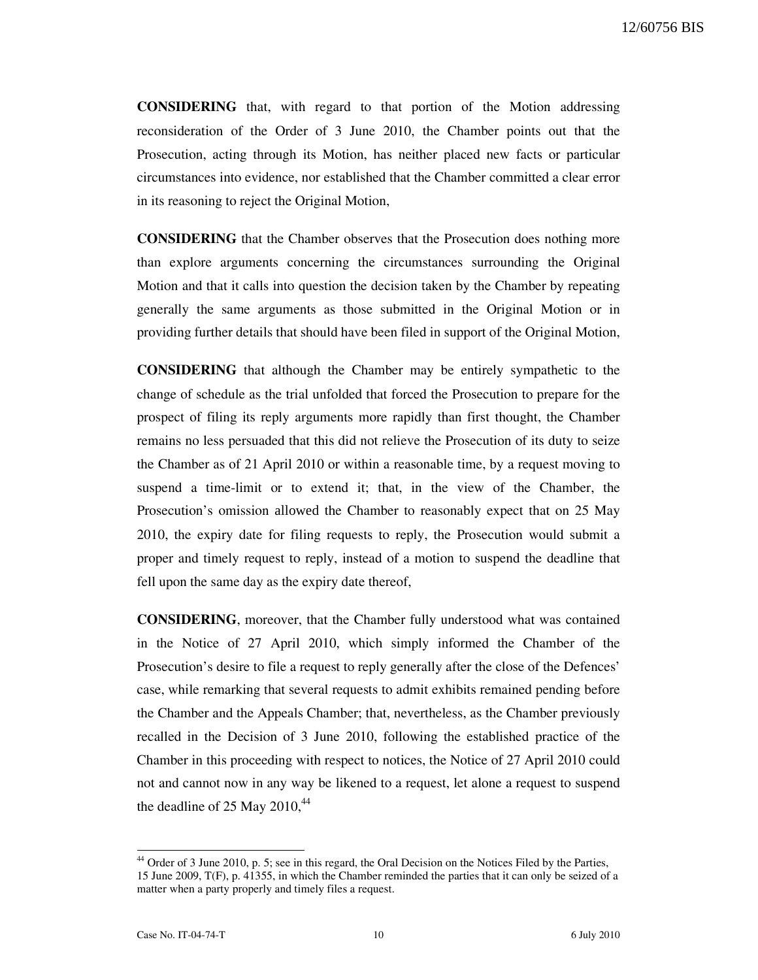CONSIDERING that, with regard to that portion of the Motion addressing reconsideration of the Order of 3 June 2010, the Chamber points out that the Prosecution, acting through its Motion, has neither placed new facts or particular circumstances into evidence, nor established that the Chamber committed a clear error in its reasoning to reject the Original Motion,

CONSIDERING that the Chamber observes that the Prosecution does nothing more than explore arguments concerning the circumstances surrounding the Original Motion and that it calls into question the decision taken by the Chamber by repeating generally the same arguments as those submitted in the Original Motion or in providing further details that should have been filed in support of the Original Motion,

CONSIDERING that although the Chamber may be entirely sympathetic to the change of schedule as the trial unfolded that forced the Prosecution to prepare for the prospect of filing its reply arguments more rapidly than first thought, the Chamber remains no less persuaded that this did not relieve the Prosecution of its duty to seize the Chamber as of 21 April 2010 or within a reasonable time, by a request moving to suspend a time-limit or to extend it; that, in the view of the Chamber, the Prosecution's omission allowed the Chamber to reasonably expect that on 25 May 2010, the expiry date for filing requests to reply, the Prosecution would submit a proper and timely request to reply, instead of a motion to suspend the deadline that fell upon the same day as the expiry date thereof,

CONSIDERING, moreover, that the Chamber fully understood what was contained in the Notice of 27 April 2010, which simply informed the Chamber of the Prosecution's desire to file a request to reply generally after the close of the Defences' case, while remarking that several requests to admit exhibits remained pending before the Chamber and the Appeals Chamber; that, nevertheless, as the Chamber previously recalled in the Decision of 3 June 2010, following the established practice of the Chamber in this proceeding with respect to notices, the Notice of 27 April 2010 could not and cannot now in any way be likened to a request, let alone a request to suspend the deadline of 25 May  $2010<sup>44</sup>$ 

<sup>&</sup>lt;sup>44</sup> Order of 3 June 2010, p. 5; see in this regard, the Oral Decision on the Notices Filed by the Parties, 15 June 2009, T(F), p. 41355, in which the Chamber reminded the parties that it can only be seized of a matter when a party properly and timely files a request.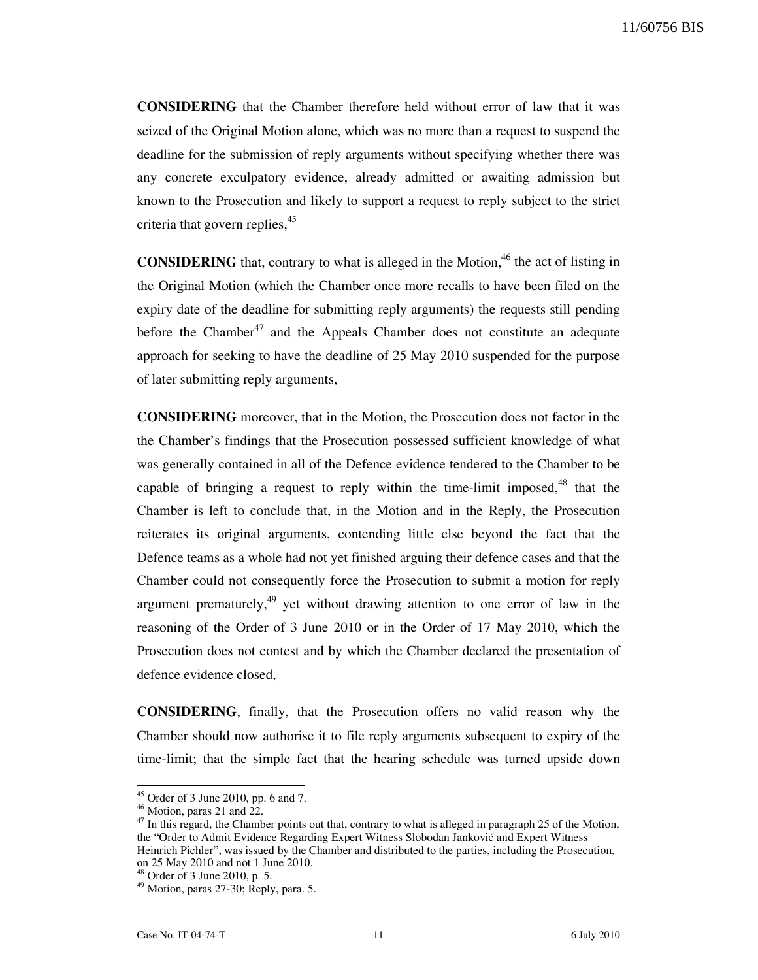CONSIDERING that the Chamber therefore held without error of law that it was seized of the Original Motion alone, which was no more than a request to suspend the deadline for the submission of reply arguments without specifying whether there was any concrete exculpatory evidence, already admitted or awaiting admission but known to the Prosecution and likely to support a request to reply subject to the strict criteria that govern replies, $45$ 

**CONSIDERING** that, contrary to what is alleged in the Motion,  $46$  the act of listing in the Original Motion (which the Chamber once more recalls to have been filed on the expiry date of the deadline for submitting reply arguments) the requests still pending before the Chamber<sup>47</sup> and the Appeals Chamber does not constitute an adequate approach for seeking to have the deadline of 25 May 2010 suspended for the purpose of later submitting reply arguments,

CONSIDERING moreover, that in the Motion, the Prosecution does not factor in the the Chamber's findings that the Prosecution possessed sufficient knowledge of what was generally contained in all of the Defence evidence tendered to the Chamber to be capable of bringing a request to reply within the time-limit imposed,  $48$  that the Chamber is left to conclude that, in the Motion and in the Reply, the Prosecution reiterates its original arguments, contending little else beyond the fact that the Defence teams as a whole had not yet finished arguing their defence cases and that the Chamber could not consequently force the Prosecution to submit a motion for reply argument prematurely, $49$  yet without drawing attention to one error of law in the reasoning of the Order of 3 June 2010 or in the Order of 17 May 2010, which the Prosecution does not contest and by which the Chamber declared the presentation of defence evidence closed,

CONSIDERING, finally, that the Prosecution offers no valid reason why the Chamber should now authorise it to file reply arguments subsequent to expiry of the time-limit; that the simple fact that the hearing schedule was turned upside down

 $45$  Order of 3 June 2010, pp. 6 and 7.

 $46$  Motion, paras 21 and 22.

 $47$  In this regard, the Chamber points out that, contrary to what is alleged in paragraph 25 of the Motion, the "Order to Admit Evidence Regarding Expert Witness Slobodan Janković and Expert Witness Heinrich Pichler", was issued by the Chamber and distributed to the parties, including the Prosecution, on 25 May 2010 and not 1 June 2010.

 $6^3$  Order of 3 June 2010, p. 5.

<sup>49</sup> Motion, paras 27-30; Reply, para. 5.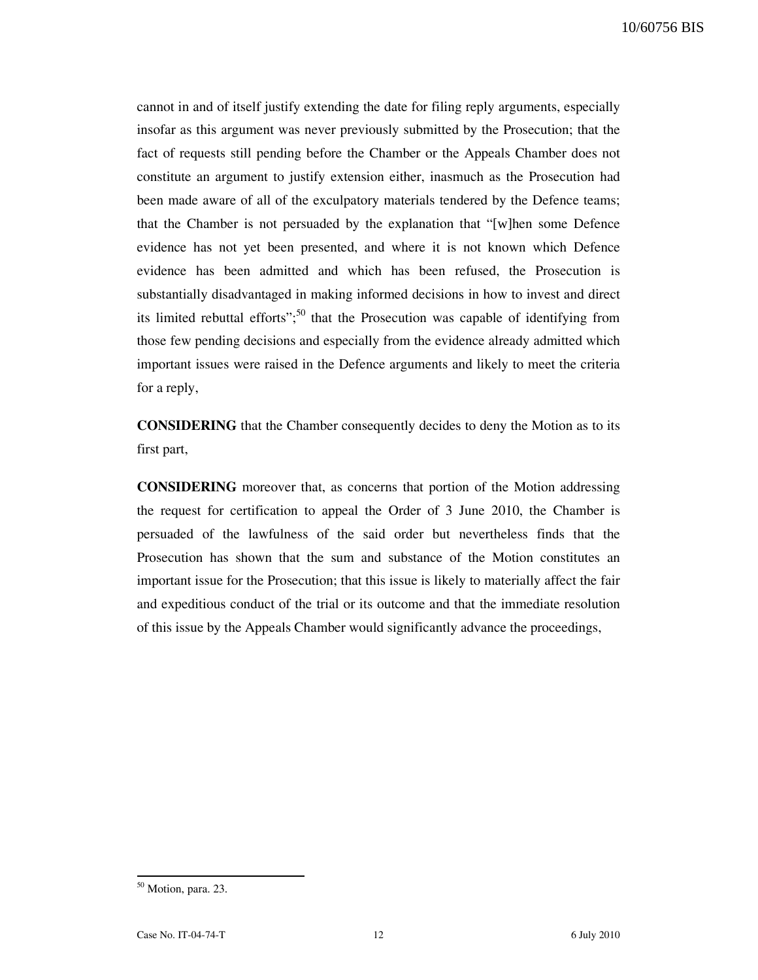cannot in and of itself justify extending the date for filing reply arguments, especially insofar as this argument was never previously submitted by the Prosecution; that the fact of requests still pending before the Chamber or the Appeals Chamber does not constitute an argument to justify extension either, inasmuch as the Prosecution had been made aware of all of the exculpatory materials tendered by the Defence teams; that the Chamber is not persuaded by the explanation that "[w]hen some Defence evidence has not yet been presented, and where it is not known which Defence evidence has been admitted and which has been refused, the Prosecution is substantially disadvantaged in making informed decisions in how to invest and direct its limited rebuttal efforts";<sup>50</sup> that the Prosecution was capable of identifying from those few pending decisions and especially from the evidence already admitted which important issues were raised in the Defence arguments and likely to meet the criteria for a reply,

CONSIDERING that the Chamber consequently decides to deny the Motion as to its first part,

CONSIDERING moreover that, as concerns that portion of the Motion addressing the request for certification to appeal the Order of 3 June 2010, the Chamber is persuaded of the lawfulness of the said order but nevertheless finds that the Prosecution has shown that the sum and substance of the Motion constitutes an important issue for the Prosecution; that this issue is likely to materially affect the fair and expeditious conduct of the trial or its outcome and that the immediate resolution of this issue by the Appeals Chamber would significantly advance the proceedings,

<sup>&</sup>lt;sup>50</sup> Motion, para. 23.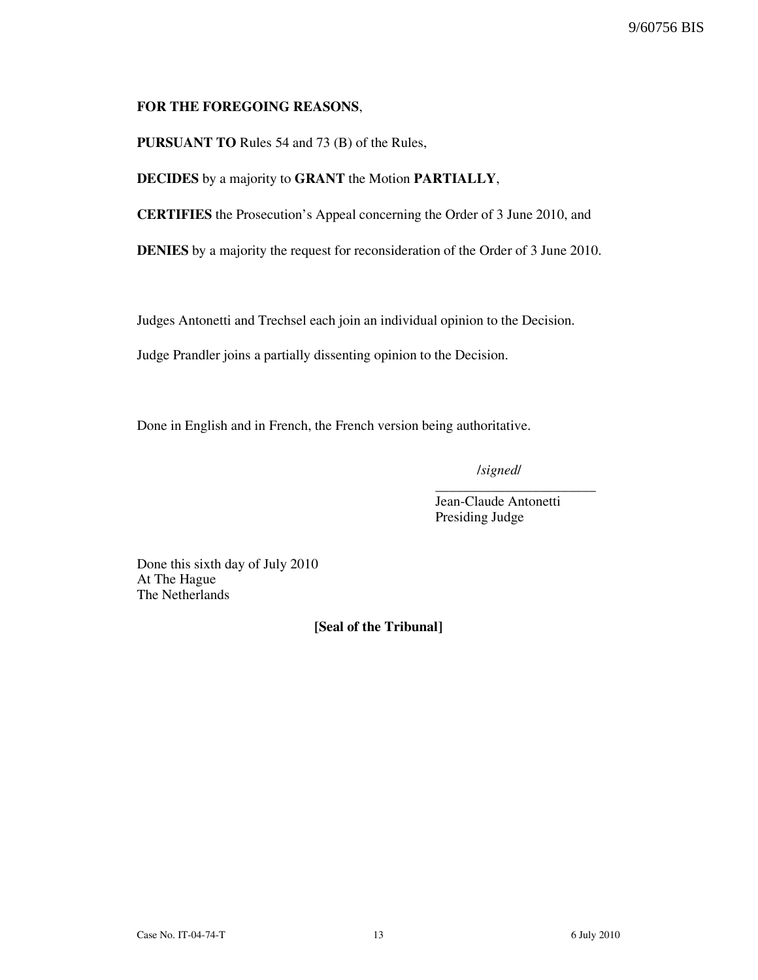### FOR THE FOREGOING REASONS,

PURSUANT TO Rules 54 and 73 (B) of the Rules,

DECIDES by a majority to GRANT the Motion PARTIALLY,

CERTIFIES the Prosecution's Appeal concerning the Order of 3 June 2010, and

DENIES by a majority the request for reconsideration of the Order of 3 June 2010.

Judges Antonetti and Trechsel each join an individual opinion to the Decision.

Judge Prandler joins a partially dissenting opinion to the Decision.

Done in English and in French, the French version being authoritative.

/signed/

\_\_\_\_\_\_\_\_\_\_\_\_\_\_\_\_\_\_\_\_\_\_\_

Jean-Claude Antonetti Presiding Judge

Done this sixth day of July 2010 At The Hague The Netherlands

[Seal of the Tribunal]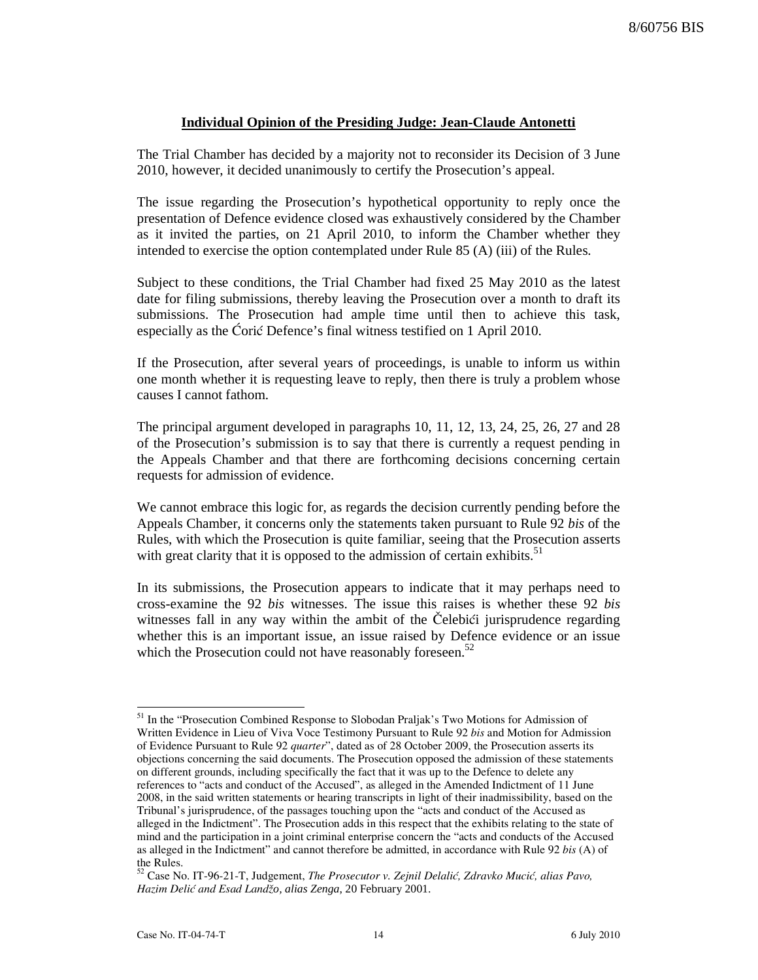### **Individual Opinion of the Presiding Judge: Jean-Claude Antonetti**

The Trial Chamber has decided by a majority not to reconsider its Decision of 3 June 2010, however, it decided unanimously to certify the Prosecution's appeal.

The issue regarding the Prosecution's hypothetical opportunity to reply once the presentation of Defence evidence closed was exhaustively considered by the Chamber as it invited the parties, on 21 April 2010, to inform the Chamber whether they intended to exercise the option contemplated under Rule 85 (A) (iii) of the Rules.

Subject to these conditions, the Trial Chamber had fixed 25 May 2010 as the latest date for filing submissions, thereby leaving the Prosecution over a month to draft its submissions. The Prosecution had ample time until then to achieve this task, especially as the Coric Defence's final witness testified on 1 April 2010.

If the Prosecution, after several years of proceedings, is unable to inform us within one month whether it is requesting leave to reply, then there is truly a problem whose causes I cannot fathom.

The principal argument developed in paragraphs 10, 11, 12, 13, 24, 25, 26, 27 and 28 of the Prosecution's submission is to say that there is currently a request pending in the Appeals Chamber and that there are forthcoming decisions concerning certain requests for admission of evidence.

We cannot embrace this logic for, as regards the decision currently pending before the Appeals Chamber, it concerns only the statements taken pursuant to Rule 92 *bis* of the Rules, with which the Prosecution is quite familiar, seeing that the Prosecution asserts with great clarity that it is opposed to the admission of certain exhibits.<sup>51</sup>

In its submissions, the Prosecution appears to indicate that it may perhaps need to cross-examine the 92 *bis* witnesses. The issue this raises is whether these 92 *bis* witnesses fall in any way within the ambit of the Čelebići jurisprudence regarding whether this is an important issue, an issue raised by Defence evidence or an issue which the Prosecution could not have reasonably foreseen. $52$ 

l <sup>51</sup> In the "Prosecution Combined Response to Slobodan Praljak's Two Motions for Admission of Written Evidence in Lieu of Viva Voce Testimony Pursuant to Rule 92 bis and Motion for Admission of Evidence Pursuant to Rule 92 quarter", dated as of 28 October 2009, the Prosecution asserts its objections concerning the said documents. The Prosecution opposed the admission of these statements on different grounds, including specifically the fact that it was up to the Defence to delete any references to "acts and conduct of the Accused", as alleged in the Amended Indictment of 11 June 2008, in the said written statements or hearing transcripts in light of their inadmissibility, based on the Tribunal's jurisprudence, of the passages touching upon the "acts and conduct of the Accused as alleged in the Indictment". The Prosecution adds in this respect that the exhibits relating to the state of mind and the participation in a joint criminal enterprise concern the "acts and conducts of the Accused as alleged in the Indictment" and cannot therefore be admitted, in accordance with Rule 92 bis (A) of the Rules.

<sup>52</sup> Case No. IT-96-21-T, Judgement, The Prosecutor v. Zejnil Delalić, Zdravko Mucić, alias Pavo, Hazim Deli} and Esad Land`*o, alias Zenga*, 20 February 2001.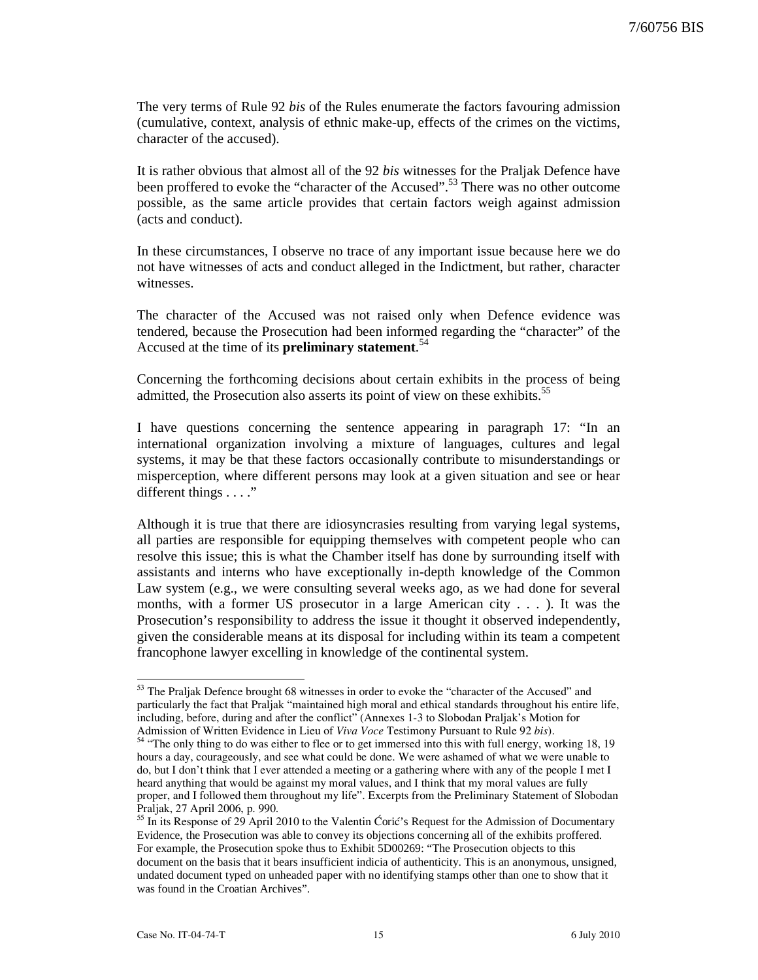The very terms of Rule 92 *bis* of the Rules enumerate the factors favouring admission (cumulative, context, analysis of ethnic make-up, effects of the crimes on the victims, character of the accused).

It is rather obvious that almost all of the 92 *bis* witnesses for the Praljak Defence have been proffered to evoke the "character of the Accused".<sup>53</sup> There was no other outcome possible, as the same article provides that certain factors weigh against admission (acts and conduct).

In these circumstances, I observe no trace of any important issue because here we do not have witnesses of acts and conduct alleged in the Indictment, but rather, character witnesses.

The character of the Accused was not raised only when Defence evidence was tendered, because the Prosecution had been informed regarding the "character" of the Accused at the time of its **preliminary statement**. 54

Concerning the forthcoming decisions about certain exhibits in the process of being admitted, the Prosecution also asserts its point of view on these exhibits.<sup>55</sup>

I have questions concerning the sentence appearing in paragraph 17: "In an international organization involving a mixture of languages, cultures and legal systems, it may be that these factors occasionally contribute to misunderstandings or misperception, where different persons may look at a given situation and see or hear different things . . . ."

Although it is true that there are idiosyncrasies resulting from varying legal systems, all parties are responsible for equipping themselves with competent people who can resolve this issue; this is what the Chamber itself has done by surrounding itself with assistants and interns who have exceptionally in-depth knowledge of the Common Law system (e.g., we were consulting several weeks ago, as we had done for several months, with a former US prosecutor in a large American city . . . ). It was the Prosecution's responsibility to address the issue it thought it observed independently, given the considerable means at its disposal for including within its team a competent francophone lawyer excelling in knowledge of the continental system.

<sup>&</sup>lt;sup>53</sup> The Praljak Defence brought 68 witnesses in order to evoke the "character of the Accused" and particularly the fact that Praljak "maintained high moral and ethical standards throughout his entire life, including, before, during and after the conflict" (Annexes 1-3 to Slobodan Praljak's Motion for Admission of Written Evidence in Lieu of Viva Voce Testimony Pursuant to Rule 92 bis).

 $54$  "The only thing to do was either to flee or to get immersed into this with full energy, working 18, 19 hours a day, courageously, and see what could be done. We were ashamed of what we were unable to do, but I don't think that I ever attended a meeting or a gathering where with any of the people I met I heard anything that would be against my moral values, and I think that my moral values are fully proper, and I followed them throughout my life". Excerpts from the Preliminary Statement of Slobodan Praljak, 27 April 2006, p. 990.

 $55$  In its Response of 29 April 2010 to the Valentin Ćorić's Request for the Admission of Documentary Evidence, the Prosecution was able to convey its objections concerning all of the exhibits proffered. For example, the Prosecution spoke thus to Exhibit 5D00269: "The Prosecution objects to this document on the basis that it bears insufficient indicia of authenticity. This is an anonymous, unsigned, undated document typed on unheaded paper with no identifying stamps other than one to show that it was found in the Croatian Archives".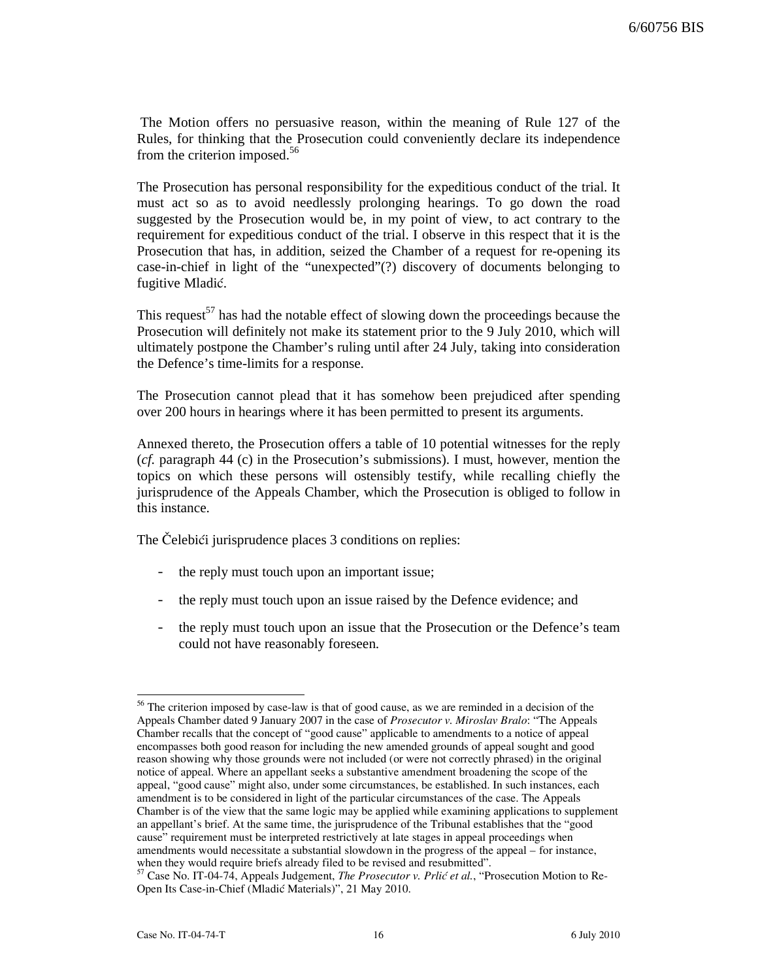The Motion offers no persuasive reason, within the meaning of Rule 127 of the Rules, for thinking that the Prosecution could conveniently declare its independence from the criterion imposed.<sup>56</sup>

The Prosecution has personal responsibility for the expeditious conduct of the trial. It must act so as to avoid needlessly prolonging hearings. To go down the road suggested by the Prosecution would be, in my point of view, to act contrary to the requirement for expeditious conduct of the trial. I observe in this respect that it is the Prosecution that has, in addition, seized the Chamber of a request for re-opening its case-in-chief in light of the "unexpected"(?) discovery of documents belonging to fugitive Mladić.

This request<sup>57</sup> has had the notable effect of slowing down the proceedings because the Prosecution will definitely not make its statement prior to the 9 July 2010, which will ultimately postpone the Chamber's ruling until after 24 July, taking into consideration the Defence's time-limits for a response.

The Prosecution cannot plead that it has somehow been prejudiced after spending over 200 hours in hearings where it has been permitted to present its arguments.

Annexed thereto, the Prosecution offers a table of 10 potential witnesses for the reply (*cf.* paragraph 44 (c) in the Prosecution's submissions). I must, however, mention the topics on which these persons will ostensibly testify, while recalling chiefly the jurisprudence of the Appeals Chamber, which the Prosecution is obliged to follow in this instance.

The Celebici jurisprudence places 3 conditions on replies:

- the reply must touch upon an important issue;
- the reply must touch upon an issue raised by the Defence evidence; and
- the reply must touch upon an issue that the Prosecution or the Defence's team could not have reasonably foreseen.

<sup>&</sup>lt;sup>56</sup> The criterion imposed by case-law is that of good cause, as we are reminded in a decision of the Appeals Chamber dated 9 January 2007 in the case of Prosecutor v. Miroslav Bralo: "The Appeals Chamber recalls that the concept of "good cause" applicable to amendments to a notice of appeal encompasses both good reason for including the new amended grounds of appeal sought and good reason showing why those grounds were not included (or were not correctly phrased) in the original notice of appeal. Where an appellant seeks a substantive amendment broadening the scope of the appeal, "good cause" might also, under some circumstances, be established. In such instances, each amendment is to be considered in light of the particular circumstances of the case. The Appeals Chamber is of the view that the same logic may be applied while examining applications to supplement an appellant's brief. At the same time, the jurisprudence of the Tribunal establishes that the "good cause" requirement must be interpreted restrictively at late stages in appeal proceedings when amendments would necessitate a substantial slowdown in the progress of the appeal – for instance, when they would require briefs already filed to be revised and resubmitted".

 $57$  Case No. IT-04-74, Appeals Judgement, *The Prosecutor v. Prlić et al.*, "Prosecution Motion to Re-Open Its Case-in-Chief (Mladić Materials)", 21 May 2010.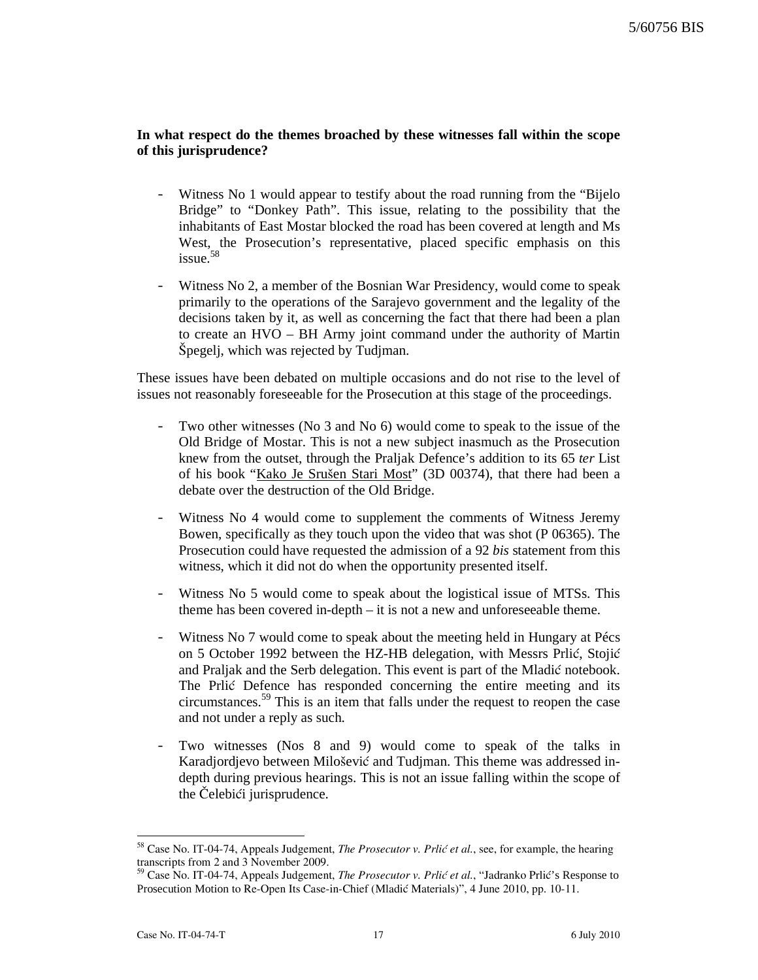# **In what respect do the themes broached by these witnesses fall within the scope of this jurisprudence?**

- Witness No 1 would appear to testify about the road running from the "Bijelo" Bridge" to "Donkey Path". This issue, relating to the possibility that the inhabitants of East Mostar blocked the road has been covered at length and Ms West, the Prosecution's representative, placed specific emphasis on this issue.<sup>58</sup>
- Witness No 2, a member of the Bosnian War Presidency, would come to speak primarily to the operations of the Sarajevo government and the legality of the decisions taken by it, as well as concerning the fact that there had been a plan to create an HVO – BH Army joint command under the authority of Martin Spegelj, which was rejected by Tudjman.

These issues have been debated on multiple occasions and do not rise to the level of issues not reasonably foreseeable for the Prosecution at this stage of the proceedings.

- Two other witnesses (No 3 and No 6) would come to speak to the issue of the Old Bridge of Mostar. This is not a new subject inasmuch as the Prosecution knew from the outset, through the Praljak Defence's addition to its 65 *ter* List of his book "Kako Je Srušen Stari Most" (3D 00374), that there had been a debate over the destruction of the Old Bridge.
- Witness No 4 would come to supplement the comments of Witness Jeremy Bowen, specifically as they touch upon the video that was shot (P 06365). The Prosecution could have requested the admission of a 92 *bis* statement from this witness, which it did not do when the opportunity presented itself.
- Witness No 5 would come to speak about the logistical issue of MTSs. This theme has been covered in-depth – it is not a new and unforeseeable theme.
- Witness No 7 would come to speak about the meeting held in Hungary at Pécs on 5 October 1992 between the HZ-HB delegation, with Messrs Prlić, Stojić and Praljak and the Serb delegation. This event is part of the Mladić notebook. The Prlić Defence has responded concerning the entire meeting and its circumstances.<sup>59</sup> This is an item that falls under the request to reopen the case and not under a reply as such.
- Two witnesses (Nos 8 and 9) would come to speak of the talks in Karadjordjevo between Milošević and Tudjman. This theme was addressed indepth during previous hearings. This is not an issue falling within the scope of the Čelebići jurisprudence.

 $58$  Case No. IT-04-74, Appeals Judgement, *The Prosecutor v. Prlić et al.*, see, for example, the hearing transcripts from 2 and 3 November 2009.

 $^{59}$  Case No. IT-04-74, Appeals Judgement, *The Prosecutor v. Prlić et al.*, "Jadranko Prlić's Response to Prosecution Motion to Re-Open Its Case-in-Chief (Mladić Materials)", 4 June 2010, pp. 10-11.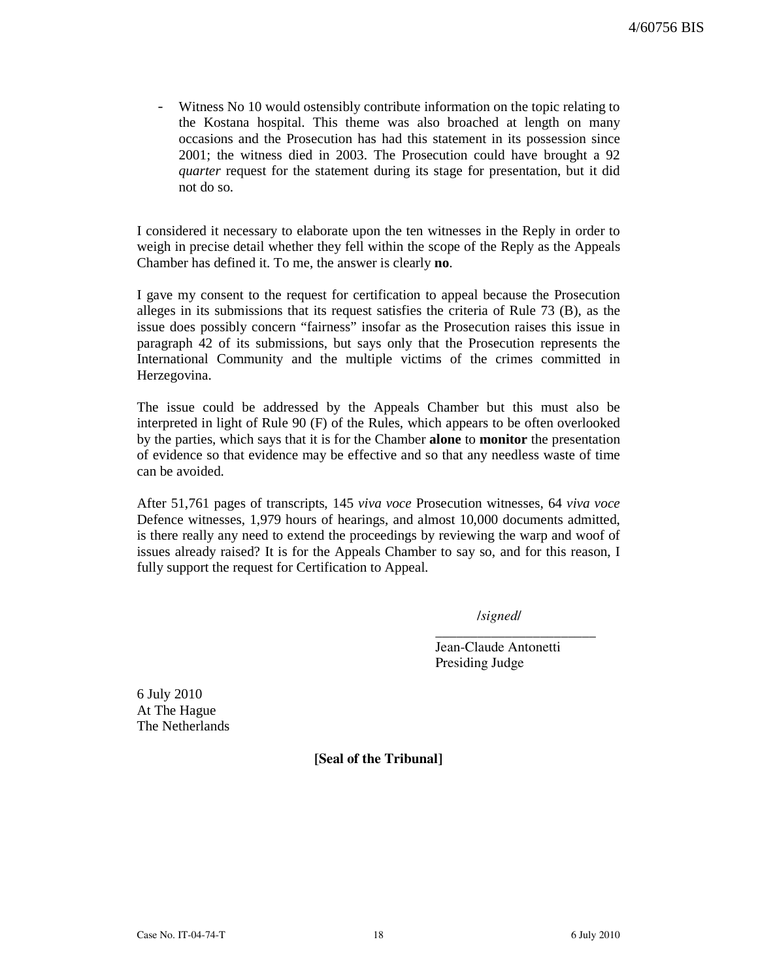- Witness No 10 would ostensibly contribute information on the topic relating to the Kostana hospital. This theme was also broached at length on many occasions and the Prosecution has had this statement in its possession since 2001; the witness died in 2003. The Prosecution could have brought a 92 *quarter* request for the statement during its stage for presentation, but it did not do so.

I considered it necessary to elaborate upon the ten witnesses in the Reply in order to weigh in precise detail whether they fell within the scope of the Reply as the Appeals Chamber has defined it. To me, the answer is clearly **no**.

I gave my consent to the request for certification to appeal because the Prosecution alleges in its submissions that its request satisfies the criteria of Rule 73 (B), as the issue does possibly concern "fairness" insofar as the Prosecution raises this issue in paragraph 42 of its submissions, but says only that the Prosecution represents the International Community and the multiple victims of the crimes committed in Herzegovina.

The issue could be addressed by the Appeals Chamber but this must also be interpreted in light of Rule 90 (F) of the Rules, which appears to be often overlooked by the parties, which says that it is for the Chamber **alone** to **monitor** the presentation of evidence so that evidence may be effective and so that any needless waste of time can be avoided.

After 51,761 pages of transcripts, 145 *viva voce* Prosecution witnesses, 64 *viva voce* Defence witnesses, 1,979 hours of hearings, and almost 10,000 documents admitted, is there really any need to extend the proceedings by reviewing the warp and woof of issues already raised? It is for the Appeals Chamber to say so, and for this reason, I fully support the request for Certification to Appeal.

/signed/

\_\_\_\_\_\_\_\_\_\_\_\_\_\_\_\_\_\_\_\_\_\_\_

Jean-Claude Antonetti Presiding Judge

6 July 2010 At The Hague The Netherlands

[Seal of the Tribunal]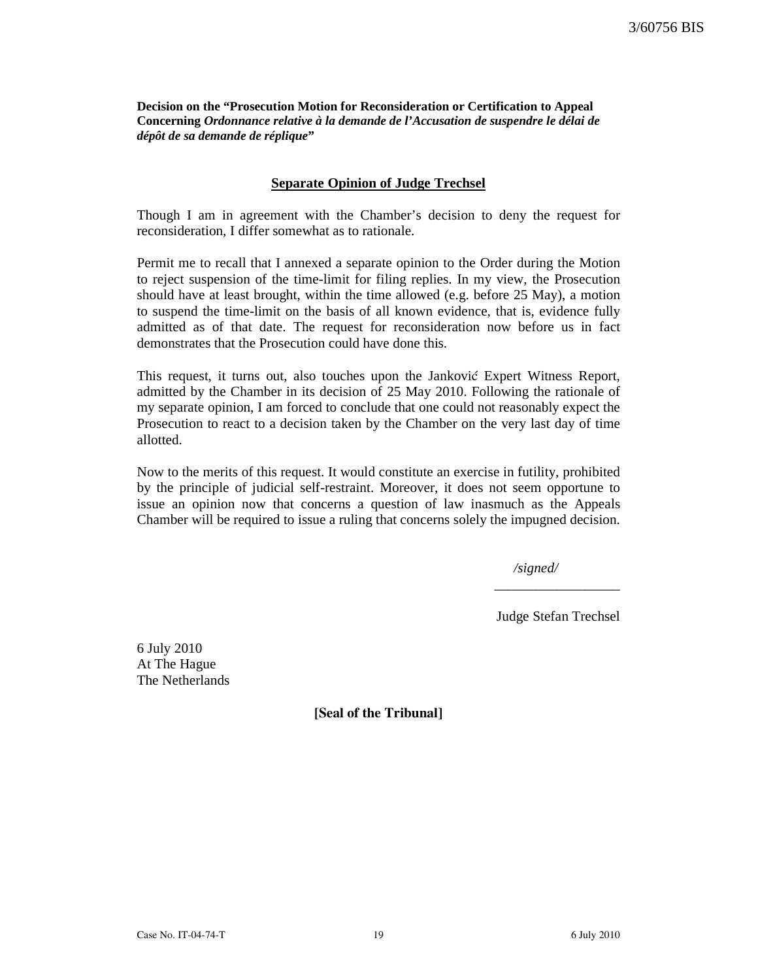**Decision on the "Prosecution Motion for Reconsideration or Certification to Appeal Concerning** *Ordonnance relative à la demande de l'Accusation de suspendre le délai de dépôt de sa demande de réplique***"** 

### **Separate Opinion of Judge Trechsel**

Though I am in agreement with the Chamber's decision to deny the request for reconsideration, I differ somewhat as to rationale.

Permit me to recall that I annexed a separate opinion to the Order during the Motion to reject suspension of the time-limit for filing replies. In my view, the Prosecution should have at least brought, within the time allowed (e.g. before 25 May), a motion to suspend the time-limit on the basis of all known evidence, that is, evidence fully admitted as of that date. The request for reconsideration now before us in fact demonstrates that the Prosecution could have done this.

This request, it turns out, also touches upon the Janković Expert Witness Report, admitted by the Chamber in its decision of 25 May 2010. Following the rationale of my separate opinion, I am forced to conclude that one could not reasonably expect the Prosecution to react to a decision taken by the Chamber on the very last day of time allotted.

Now to the merits of this request. It would constitute an exercise in futility, prohibited by the principle of judicial self-restraint. Moreover, it does not seem opportune to issue an opinion now that concerns a question of law inasmuch as the Appeals Chamber will be required to issue a ruling that concerns solely the impugned decision.

*/signed/* 

Judge Stefan Trechsel

\_\_\_\_\_\_\_\_\_\_\_\_\_\_\_\_\_\_

6 July 2010 At The Hague The Netherlands

[Seal of the Tribunal]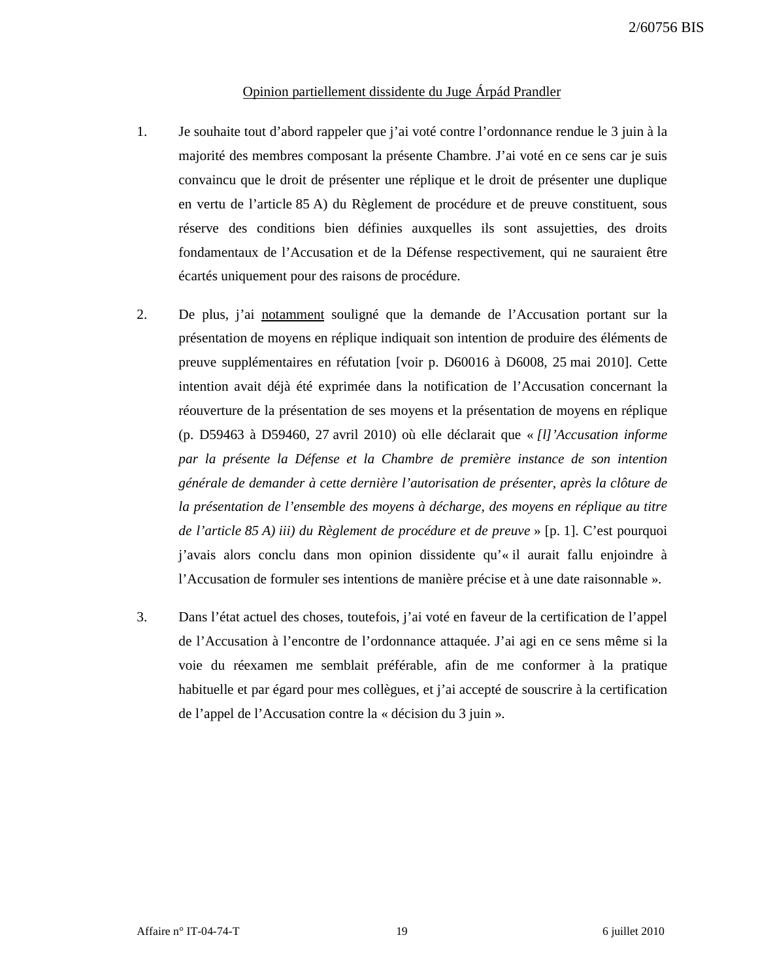# Opinion partiellement dissidente du Juge Árpád Prandler

- 1. Je souhaite tout d'abord rappeler que j'ai voté contre l'ordonnance rendue le 3 juin à la majorité des membres composant la présente Chambre. J'ai voté en ce sens car je suis convaincu que le droit de présenter une réplique et le droit de présenter une duplique en vertu de l'article 85 A) du Règlement de procédure et de preuve constituent, sous réserve des conditions bien définies auxquelles ils sont assujetties, des droits fondamentaux de l'Accusation et de la Défense respectivement, qui ne sauraient être écartés uniquement pour des raisons de procédure.
- 2. De plus, j'ai notamment souligné que la demande de l'Accusation portant sur la présentation de moyens en réplique indiquait son intention de produire des éléments de preuve supplémentaires en réfutation [voir p. D60016 à D6008, 25 mai 2010]. Cette intention avait déjà été exprimée dans la notification de l'Accusation concernant la réouverture de la présentation de ses moyens et la présentation de moyens en réplique (p. D59463 à D59460, 27 avril 2010) où elle déclarait que « *[l]'Accusation informe par la présente la Défense et la Chambre de première instance de son intention générale de demander à cette dernière l'autorisation de présenter, après la clôture de*  la présentation de l'ensemble des moyens à décharge, des moyens en réplique au titre *de l'article 85 A) iii) du Règlement de procédure et de preuve* » [p. 1]. C'est pourquoi j'avais alors conclu dans mon opinion dissidente qu'« il aurait fallu enjoindre à l'Accusation de formuler ses intentions de manière précise et à une date raisonnable ».
- 3. Dans l'état actuel des choses, toutefois, j'ai voté en faveur de la certification de l'appel de l'Accusation à l'encontre de l'ordonnance attaquée. J'ai agi en ce sens même si la voie du réexamen me semblait préférable, afin de me conformer à la pratique habituelle et par égard pour mes collègues, et j'ai accepté de souscrire à la certification de l'appel de l'Accusation contre la « décision du 3 juin ».